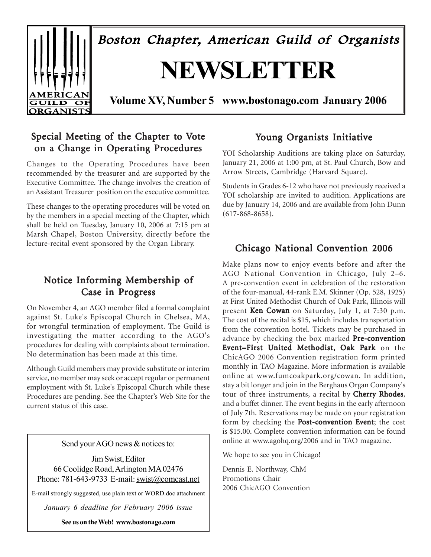

# Special Meeting of the Chapter to Vote on a Change in Operating Procedures

Changes to the Operating Procedures have been recommended by the treasurer and are supported by the Executive Committee. The change involves the creation of an Assistant Treasurer position on the executive committee.

These changes to the operating procedures will be voted on by the members in a special meeting of the Chapter, which shall be held on Tuesday, January 10, 2006 at 7:15 pm at Marsh Chapel, Boston University, directly before the lecture-recital event sponsored by the Organ Library. Chicago National Convention 2006

# Notice Informing Membership of Case in Progress

On November 4, an AGO member filed a formal complaint against St. Luke's Episcopal Church in Chelsea, MA, for wrongful termination of employment. The Guild is investigating the matter according to the AGO's procedures for dealing with complaints about termination. No determination has been made at this time.

Although Guild members may provide substitute or interim service, no member may seek or accept regular or permanent employment with St. Luke's Episcopal Church while these Procedures are pending. See the Chapter's Web Site for the current status of this case.

Send your AGO news  $&$  notices to:

Jim Swist, Editor 66 Coolidge Road, Arlington MA 02476 Phone: 781-643-9733 E-mail: swist@comcast.net

E-mail strongly suggested, use plain text or WORD.doc attachment

*January 6 deadline for February 2006 issue*

**See us on the Web! www.bostonago.com**

# Young Organists Initiative

YOI Scholarship Auditions are taking place on Saturday, January 21, 2006 at 1:00 pm, at St. Paul Church, Bow and Arrow Streets, Cambridge (Harvard Square).

Students in Grades 6-12 who have not previously received a YOI scholarship are invited to audition. Applications are due by January 14, 2006 and are available from John Dunn (617-868-8658).

Make plans now to enjoy events before and after the AGO National Convention in Chicago, July 2–6. A pre-convention event in celebration of the restoration of the four-manual, 44-rank E.M. Skinner (Op. 528, 1925) at First United Methodist Church of Oak Park, Illinois will present Ken Cowan on Saturday, July 1, at 7:30 p.m. The cost of the recital is \$15, which includes transportation from the convention hotel. Tickets may be purchased in advance by checking the box marked Pre-convention Event-First United Methodist, Oak Park on the ChicAGO 2006 Convention registration form printed monthly in TAO Magazine. More information is available online at www.fumcoakpark.org/cowan. In addition, stay a bit longer and join in the Berghaus Organ Company's tour of three instruments, a recital by Cherry Rhodes, and a buffet dinner. The event begins in the early afternoon of July 7th. Reservations may be made on your registration form by checking the **Post-convention Event**; the cost is \$15.00. Complete convention information can be found online at www.agohq.org/2006 and in TAO magazine.

We hope to see you in Chicago!

Dennis E. Northway, ChM Promotions Chair 2006 ChicAGO Convention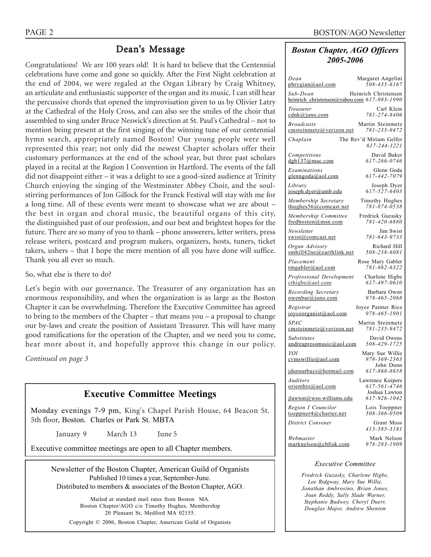# Dean's Message

Congratulations! We are 100 years old! It is hard to believe that the Centennial celebrations have come and gone so quickly. After the First Night celebration at the end of 2004, we were regaled at the Organ Library by Craig Whitney, an articulate and enthusiastic supporter of the organ and its music. I can still hear the percussive chords that opened the improvisation given to us by Olivier Latry at the Cathedral of the Holy Cross, and can also see the smiles of the choir that assembled to sing under Bruce Neswick's direction at St. Paul's Cathedral – not to mention being present at the first singing of the winning tune of our centennial hymn search, appropriately named Boston! Our young people were well represented this year; not only did the newest Chapter scholars offer their customary performances at the end of the school year, but three past scholars played in a recital at the Region I Convention in Hartford. The events of the fall did not disappoint either – it was a delight to see a good-sized audience at Trinity Church enjoying the singing of the Westminster Abbey Choir, and the soulstirring performances of Jon Gillock for the Franck Festival will stay with me for a long time. All of these events were meant to showcase what we are about – the best in organ and choral music, the beautiful organs of this city, the distinguished past of our profession, and our best and brightest hopes for the future. There are so many of you to thank – phone answerers, letter writers, press release writers, postcard and program makers, organizers, hosts, tuners, ticket takers, ushers – that I hope the mere mention of all you have done will suffice. Thank you all ever so much.

So, what else is there to do?

Let's begin with our governance. The Treasurer of any organization has an enormous responsibility, and when the organization is as large as the Boston Chapter it can be overwhelming. Therefore the Executive Committee has agreed to bring to the members of the Chapter – that means you – a proposal to change our by-laws and create the position of Assistant Treasurer. This will have many good ramifications for the operation of the Chapter, and we need you to come, hear more about it, and hopefully approve this change in our policy.

*Continued on page 3*

# **Executive Committee Meetings**

Monday evenings 7-9 pm, King's Chapel Parish House, 64 Beacon St. 5th floor, Boston. Charles or Park St. MBTA

January 9 March 13 June 5

Executive committee meetings are open to all Chapter members.

Newsletter of the Boston Chapter, American Guild of Organists Published 10 times a year, September-June. Distributed to members & associates of the Boston Chapter, AGO.

Mailed at standard mail rates from Boston MA. Boston Chapter/AGO c/o Timothy Hughes, Membership 20 Pleasant St, Medford MA 02155.

Copyright © 2006, Boston Chapter, American Guild of Organists

#### *Boston Chapter, AGO Officers 2005-2006*

| Dean                                                    | Margaret Angelini                                 |
|---------------------------------------------------------|---------------------------------------------------|
| phrygian@aol.com                                        | 508-435-6167                                      |
| Sub-Dean<br>heinrich_christensen@yahoo.com 617-983-1990 | Heinrich Christensen                              |
| Treasurer                                               | Carl Klein                                        |
| cdnk@juno.com                                           | 781-274-8406                                      |
| <b>Broadcasts</b>                                       | Martin Steinmetz                                  |
| emsteinmetz@verizon.net                                 | 781-235-9472                                      |
| Chaplain                                                | The Rev'd Miriam Gelfer<br>617-244-3221           |
| Competitions                                            | David Baker                                       |
| dgb137@mac.com                                          | 617-266-0746                                      |
| Examinations                                            | Glenn Goda                                        |
| glenngoda@aol.com                                       | 617-442-7079                                      |
| Library                                                 | Joseph Dyer                                       |
| joseph.dyer@umb.edu                                     | $617 - 527 - 6403$                                |
| Membership Secretary                                    | Timothy Hughes                                    |
| thughes $56@$ comcast.net                               | 781-874-0538                                      |
| Membership Committee                                    | Fredrick Guzasky                                  |
| fredboston@msn.com                                      | 781-420-6880                                      |
| Newsletter                                              | Jim Swist                                         |
| swist@comcast.net                                       | 781-643-9733                                      |
| Organ Advisory                                          | Richard Hill                                      |
| smhill42ne@earthlink.net                                | 508-238-6081                                      |
| Placement                                               | Rose Mary Gabler                                  |
| rmgabler@aol.com                                        | 781-862-6322                                      |
| Professional Development                                | Charlene Higbe                                    |
| $\text{cthigbe}(a)$ aol.com                             | 617-497-0610                                      |
| Recording Secretary                                     | Barbara Owen                                      |
| owenbar@juno.com                                        | 978-465-2068                                      |
| Registrar                                               | Joyce Painter Rice                                |
| joyceorganist@aol.com                                   | 978-465-1901                                      |
| <i>SPAC</i>                                             | Martin Steinmetz                                  |
| emsteinmetz@verizon.net                                 | 781-235-9472                                      |
| <i>Substitutes</i>                                      | David Owens                                       |
| andreapressmusic@aol.com                                | 508-429-1725                                      |
| YOI<br>cvmswille@aol.com                                | Mary Sue Willie<br>978-369-2363<br>John Dunn      |
| jdunnatbacs@hotmail.com                                 | 617-868-8658                                      |
| Auditors<br>orienthts@aol.com                           | Lawrence Kuipers<br>617-561-4746<br>Joshua Lawton |
| jlawton@wso.williams.edu                                | 617-926-1042                                      |
| Region I Councilor                                      | Lois Toeppner                                     |
| toeppner4@charter.net                                   | 508-366-0509                                      |
| District Convener                                       | Grant Moss<br>413-585-3181                        |
| Webmaster                                               | Mark Nelson                                       |
| marknelson@cbfisk.com                                   | 978-283-1909                                      |

#### *Executive Committee*

*Fredrick Guzasky, Charlene Higbe, Lee Ridgway, Mary Sue Willie, Jonathan Ambrosino, Brian Jones, Joan Reddy, Sally Slade Warner, Stephanie Budwey, Cheryl Duerr, Douglas Major, Andrew Shenton*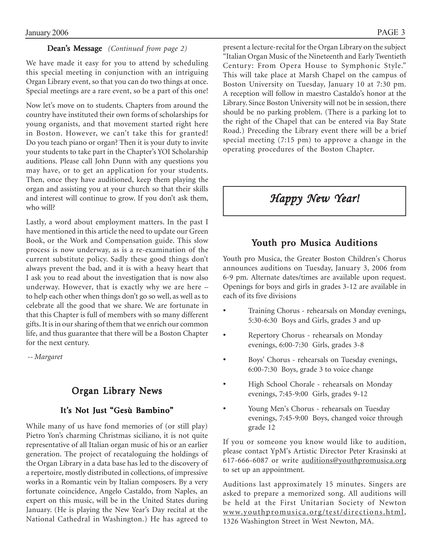#### Dean's Message *(Continued from page 2)*

We have made it easy for you to attend by scheduling this special meeting in conjunction with an intriguing Organ Library event, so that you can do two things at once. Special meetings are a rare event, so be a part of this one!

Now let's move on to students. Chapters from around the country have instituted their own forms of scholarships for young organists, and that movement started right here in Boston. However, we can't take this for granted! Do you teach piano or organ? Then it is your duty to invite your students to take part in the Chapter's YOI Scholarship auditions. Please call John Dunn with any questions you may have, or to get an application for your students. Then, once they have auditioned, keep them playing the organ and assisting you at your church so that their skills and interest will continue to grow. If you don't ask them, who will?

Lastly, a word about employment matters. In the past I have mentioned in this article the need to update our Green Book, or the Work and Compensation guide. This slow process is now underway, as is a re-examination of the current substitute policy. Sadly these good things don't always prevent the bad, and it is with a heavy heart that I ask you to read about the investigation that is now also underway. However, that is exactly why we are here – to help each other when things don't go so well, as well as to celebrate all the good that we share. We are fortunate in that this Chapter is full of members with so many different gifts. It is in our sharing of them that we enrich our common life, and thus guarantee that there will be a Boston Chapter for the next century.

 *-- Margaret*

### Organ Library News

#### It's Not Just "Gesù Bambino"

While many of us have fond memories of (or still play) Pietro Yon's charming Christmas siciliano, it is not quite representative of all Italian organ music of his or an earlier generation. The project of recataloguing the holdings of the Organ Library in a data base has led to the discovery of a repertoire, mostly distributed in collections, of impressive works in a Romantic vein by Italian composers. By a very fortunate coincidence, Angelo Castaldo, from Naples, an expert on this music, will be in the United States during January. (He is playing the New Year's Day recital at the National Cathedral in Washington.) He has agreed to

present a lecture-recital for the Organ Library on the subject "Italian Organ Music of the Nineteenth and Early Twentieth Century: From Opera House to Symphonic Style." This will take place at Marsh Chapel on the campus of Boston University on Tuesday, January 10 at 7:30 pm. A reception will follow in maestro Castaldo's honor at the Library. Since Boston University will not be in session, there should be no parking problem. (There is a parking lot to the right of the Chapel that can be entered via Bay State Road.) Preceding the Library event there will be a brief special meeting (7:15 pm) to approve a change in the operating procedures of the Boston Chapter.

# *Happy New Year! Happy New New Year!*

# Youth pro Musica Auditions

Youth pro Musica, the Greater Boston Children's Chorus announces auditions on Tuesday, January 3, 2006 from 6-9 pm. Alternate dates/times are available upon request. Openings for boys and girls in grades 3-12 are available in each of its five divisions

- Training Chorus rehearsals on Monday evenings, 5:30-6:30 Boys and Girls, grades 3 and up
- Repertory Chorus rehearsals on Monday evenings, 6:00-7:30 Girls, grades 3-8
- Boys' Chorus rehearsals on Tuesday evenings, 6:00-7:30 Boys, grade 3 to voice change
- High School Chorale rehearsals on Monday evenings, 7:45-9:00 Girls, grades 9-12
- Young Men's Chorus rehearsals on Tuesday evenings, 7:45-9:00 Boys, changed voice through grade 12

If you or someone you know would like to audition, please contact YpM's Artistic Director Peter Krasinski at 617-666-6087 or write auditions@youthpromusica.org to set up an appointment.

Auditions last approximately 15 minutes. Singers are asked to prepare a memorized song. All auditions will be held at the First Unitarian Society of Newton www.youthpromusica.org/test/directions.html, 1326 Washington Street in West Newton, MA.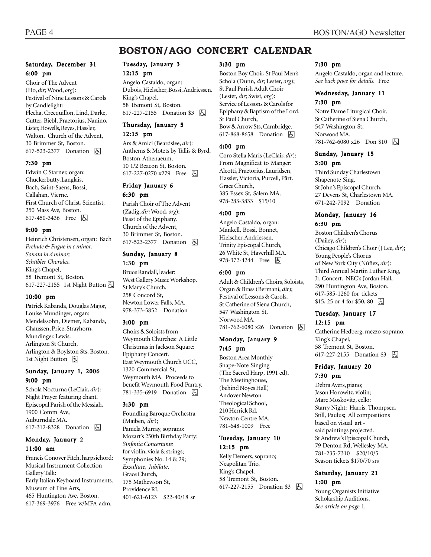# **BOSTON/AGO CONCERT CALENDAR**

#### Saturday, December 31 6:00 pm

Choir of The Advent (Ho, *dir;* Wood, *org*): Festival of Nine Lessons & Carols by Candlelight: Flecha, Crecquillon, Lind, Darke, Cutter, Biebl, Praetorius, Nanino, Lister, Howells, Reyes, Hassler, Walton. Church of the Advent, 30 Brimmer St, Boston. 617-523-2377 Donation **A** 

#### 7:30 pm

Edwin C Starner, organ: Chuckerbutty, Langlais, Bach, Saint-Saëns, Bossi, Callahan, Vierne. First Church of Christ, Scientist, 250 Mass Ave, Boston. 617-450-3436 Free 因

#### 9:00 pm

Heinrich Christensen, organ: Bach *Prelude & Fugue in c minor, Sonata in d minor; Schübler Chorales.* King's Chapel, 58 Tremont St, Boston. 617-227-2155 1st Night Button  $\boxed{6}$ 

#### 10:00 pm

Patrick Kabanda, Douglas Major, Louise Mundinger, organ: Mendelssohn, Diemer, Kabanda, Chaussen, Price, Strayhorn, Mundinger, Lewis. Arlington St Church, Arlington & Boylston Sts, Boston. 1st Night Button  $\Box$ 

#### Sunday, January 1, 2006 9:00 pm

Schola Nocturna (LeClair, *dir*): Night Prayer featuring chant. Episcopal Parish of the Messiah, 1900 Comm Ave, Auburndale MA. 617-312-8328 Donation 因

#### Monday, January 2 11:00 am

Francis Conover Fitch, harpsichord: Musical Instrument Collection Gallery Talk: Early Italian Keyboard Instruments. Museum of Fine Arts, 465 Huntington Ave, Boston. 617-369-3976 Free w/MFA adm.

# Tuesday, January 3

12:15 pm Angelo Castaldo, organ: Dubois, Hielscher, Bossi, Andriessen. King's Chapel, 58 Tremont St, Boston. 617-227-2155 Donation \$3 **A** 

#### Thursday, January 5

12:15 pm

Ars & Amici (Beardslee, *dir*): Anthems & Motets by Tallis & Byrd. Boston Athenaeum, 10 1/2 Beacon St, Boston. 617-227-0270 x279 Free 因

#### Friday January 6 6:30 pm

Parish Choir of The Advent (Zadig, *dir;* Wood, *org*): Feast of the Epiphany. Church of the Advent, 30 Brimmer St, Boston. 617-523-2377 Donation **A** 

# Sunday, January 8

1:30 pm Bruce Randall, leader: West Gallery Music Workshop. St Mary's Church, 258 Concord St, Newton Lower Falls, MA.

978-373-5852 Donation

#### 3:00 pm

Choirs & Soloists from Weymouth Churches: A Little Christmas in Jackson Square: Epiphany Concert. East Weymouth Church UCC, 1320 Commercial St, Weymouth MA. Proceeds to benefit Weymouth Food Pantry. 781-335-6919 Donation **b** 

#### 3:30 pm

Foundling Baroque Orchestra (Maiben, *dir*); Pamela Murray, soprano: Mozart's 250th Birthday Party: *Sinfonia Concertante* for violin, viola & strings; Symphonies No. 14 & 29; *Exsultate, Jubilate*. Grace Church, 175 Mathewson St, Providence RI. 401-621-6123 \$22-40/18 sr

#### 3:30 pm

Boston Boy Choir, St Paul Men's Schola (Dunn, *dir*; Lester, *org*); St Paul Parish Adult Choir (Lester, *dir*; Swist, *org*): Service of Lessons & Carols for Epiphany & Baptism of the Lord. St Paul Church, Bow & Arrow Sts, Cambridge. 617-868-8658 Donation  $\Box$ 

#### 4:00 pm

Coro Stella Maris (LeClair, *dir*): From Magnificat to Manger: Aleotti, Praetorius, Lauridsen, Hassler, Victoria, Purcell, Pårt. Grace Church, 385 Essex St, Salem MA. 978-283-3833 \$15/10

#### 4:00 pm

Angelo Castaldo, organ: Mankell, Bossi, Bonnet, Hielscher, Andriessen. Trinity Episcopal Church, 26 White St, Haverhill MA. 978-372-4244 Free 因

#### 6:00 pm

Adult & Children's Choirs, Soloists, Organ & Brass (Bermani, *dir*); Festival of Lessons & Carols. St Catherine of Siena Church, 547 Washington St, Norwood MA. 781-762-6080 x26 Donation h

#### Monday, January 9 7:45 pm

Boston Area Monthly Shape-Note Singing (The Sacred Harp, 1991 ed). The Meetinghouse, (behind Noyes Hall) Andover Newton Theological School, 210 Herrick Rd, Newton Centre MA. 781-648-1009 Free

#### Tuesday, January 10 12:15 pm

Kelly Demers, soprano; Neapolitan Trio. King's Chapel, 58 Tremont St, Boston. 617-227-2155 Donation \$3 **b** 

#### 7:30 pm

Angelo Castaldo, organ and lecture. *See back page for details.* Free

#### Wednesday, January 11 7:30 pm

Notre Dame Liturgical Choir. St Catherine of Siena Church, 547 Washington St, Norwood MA. 781-762-6080 x26 Don \$10 h

#### Sunday, January 15 3:00 pm

Third Sunday Charlestown Shapenote Sing. St John's Episcopal Church, 27 Devens St, Charlestown MA. 671-242-7092 Donation

#### Monday, January 16 6:30 pm

Boston Children's Chorus (Dailey, *dir*); Chicago Children's Choir (J Lee, *dir*); Young People's Chorus of New York City (Núñez, *dir*): Third Annual Martin Luther King, Jr. Concert. NEC's Jordan Hall, 290 Huntington Ave, Boston. 617-585-1260 for tickets  $$15, 25$  or 4 for \$50, 80  $\Box$ 

#### Tuesday, January 17 12:15 pm

Catherine Hedberg, mezzo-soprano. King's Chapel, 58 Tremont St, Boston. 617-227-2155 Donation \$3 因

#### Friday, January 20 7:30 pm

Debra Ayers, piano; Jason Horowitz, violin; Marc Moskovitz, cello: Starry Night: Harris, Thompsen, Still, Paulus; All compositions based on visual art said paintings projected. St Andrew's Episcopal Church, 79 Denton Rd, Wellesley MA. 781-235-7310 \$20/10/5

Season tickets \$170/70 srs

#### Saturday, January 21 1:00 pm

Young Organists Initiative Scholarship Auditions. *See article on page* 1.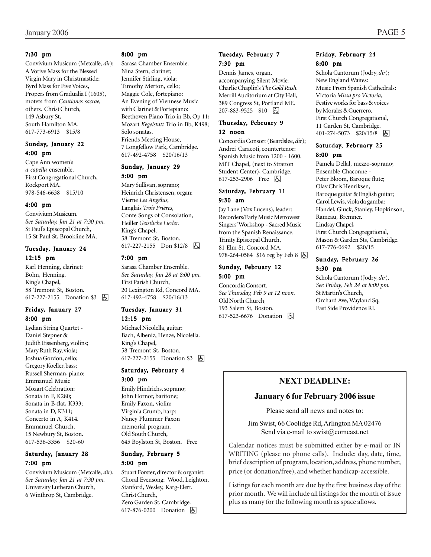#### 7:30 pm

Convivium Musicum (Metcalfe, *dir*): A Votive Mass for the Blessed Virgin Mary in Christmastide: Byrd Mass for Five Voices, Propers from Gradualia I (1605), motets from *Cantiones sacrae,* others. Christ Church, 149 Asbury St, South Hamilton MA. 617-773-6913 \$15/8

#### Sunday, January 22 4:00 pm

Cape Ann women's *a capella* ensemble. First Congregational Church, Rockport MA. 978-546-6638 \$15/10

#### 4:00 pm

Convivium Musicum. *See Saturday, Jan 21 at 7:30 pm.* St Paul's Episcopal Church, 15 St Paul St, Brookline MA.

#### Tuesday, January 24 12:15 pm

Karl Henning, clarinet: Bohn, Henning. King's Chapel, 58 Tremont St, Boston. 617-227-2155 Donation \$3 因

#### Friday, January 27 8:00 pm

Lydian String Quartet - Daniel Stepner & Judith Eissenberg, violins; Mary Ruth Ray, viola; Joshua Gordon, cello; Gregory Koeller, bass; Russell Sherman, piano: Emmanuel Music Mozart Celebration: Sonata in F, K280; Sonata in B-flat, K333; Sonata in D, K311; Concerto in A, K414. Emmanuel Church, 15 Newbury St, Boston. 617-536-3356 \$20-60

#### Saturday, January 28 7:00 pm

Convivium Musicum (Metcalfe, *dir*). *See Saturday, Jan 21 at 7:30 pm.* University Lutheran Church, 6 Winthrop St, Cambridge.

#### 8:00 pm

Sarasa Chamber Ensemble. Nina Stern, clarinet; Jennifer Stirling, viola; Timothy Merton, cello; Maggie Cole, fortepiano: An Evening of Viennese Music with Clarinet & Fortepiano: Beethoven Piano Trio in Bb, Op 11; Mozart *Kegelstatt* Trio in Bb, K498; Solo sonatas. Friends Meeting House, 7 Longfellow Park, Cambridge. 617-492-4758 \$20/16/13

#### Sunday, January 29 5:00 pm

Mary Sullivan, soprano;

Heinrich Christensen, organ: Vierne *Les Angélus*, Langlais *Trois Prières*, Conte Songs of Consolation, Heiller *Geistliche Lieder.* King's Chapel, 58 Tremont St, Boston. 617-227-2155 Don \$12/8 h

#### 7:00 pm

Sarasa Chamber Ensemble. *See Saturday, Jan 28 at 8:00 pm.* First Parish Church, 20 Lexington Rd, Concord MA. 617-492-4758 \$20/16/13

#### Tuesday, January 31 12:15 pm

Michael Nicolella, guitar: Bach, Albeniz, Henze, Nicolella. King's Chapel, 58 Tremont St, Boston. 617-227-2155 Donation \$3 | A

#### Saturday, February 4 3:00 pm

Emily Hindrichs, soprano; John Hornor, baritone; Emily Faxon, violin; Virginia Crumb, harp: Nancy Plummer Faxon memorial program. Old South Church, 645 Boylston St, Boston. Free

#### Sunday, February 5 5:00 pm

Stuart Forster, director & organist: Choral Evensong: Wood, Leighton, Stanford, Wesley, Karg-Elert. Christ Church, Zero Garden St, Cambridge. 617-876-0200 Donation  $\Box$ 

#### Tuesday, February 7 7:30 pm

Dennis James, organ, accompanying Silent Movie: Charlie Chaplin's *The Gold Rush.* Merrill Auditorium at City Hall, 389 Congress St, Portland ME. 207-883-9525 \$10 | 5

#### Thursday, February 9 12 noon

Concordia Consort (Beardslee, *dir*); Andrei Caracoti, countertenor: Spanish Music from 1200 - 1600. MIT Chapel, (next to Stratton Student Center), Cambridge. 617-253-2906 Free 因

#### Saturday, February 11 9:30 am

Jay Lane (Vox Lucens), leader: Recorders/Early Music Metrowest Singers' Workshop - Sacred Music from the Spanish Renaissance. Trinity Episcopal Church, 81 Elm St, Concord MA. 978-264-0584 \$16 reg by Feb 8  $\Box$ 

#### Sunday, February 12 5:00 pm

Concordia Consort. *See Thursday, Feb 9 at 12 noon.* Old North Church, 193 Salem St, Boston. 617-523-6676 Donation **b** 

#### Friday, February 24 8:00 pm

Schola Cantorum (Jodry, *dir*); New England Waites: Music From Spanish Cathedrals: Victoria *Missa pro Victoria*, Festive works for bass & voices by Morales & Guerrero. First Church Congregational, 11 Garden St, Cambridge. 401-274-5073 \$20/15/8 因

#### Saturday, February 25 8:00 pm

Pamela Dellal, mezzo-soprano; Ensemble Chaconne - Peter Bloom, Baroque flute; Olav Chris Henriksen, Baroque guitar & English guitar; Carol Lewis, viola da gamba: Handel, Gluck, Stanley, Hopkinson, Rameau, Bremner. Lindsay Chapel, First Church Congregational, Mason & Garden Sts, Cambridge. 617-776-0692 \$20/15

#### Sunday, February 26 3:30 pm

Schola Cantorum (Jodry, *dir*). *See Friday, Feb 24 at 8:00 pm.* St Martin's Church, Orchard Ave, Wayland Sq, East Side Providence RI.

# **NEXT DEADLINE:**

#### **January 6 for February 2006 issue**

Please send all news and notes to:

Jim Swist, 66 Coolidge Rd, Arlington MA 02476 Send via e-mail to swist@comcast.net

Calendar notices must be submitted either by e-mail or IN WRITING (please no phone calls). Include: day, date, time, brief description of program, location, address, phone number, price (or donation/free), and whether handicap-accessible.

Listings for each month are due by the first business day of the prior month. We will include all listings for the month of issue plus as many for the following month as space allows.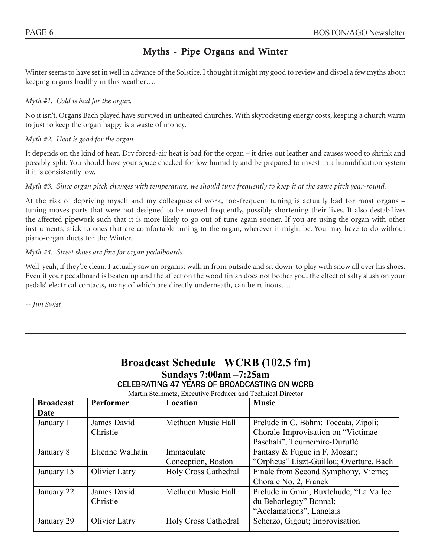# Myths - Pipe Organs and Winter

Winter seems to have set in well in advance of the Solstice. I thought it might my good to review and dispel a few myths about keeping organs healthy in this weather….

### *Myth #1. Cold is bad for the organ.*

No it isn't. Organs Bach played have survived in unheated churches. With skyrocketing energy costs, keeping a church warm to just to keep the organ happy is a waste of money.

#### *Myth #2. Heat is good for the organ.*

It depends on the kind of heat. Dry forced-air heat is bad for the organ – it dries out leather and causes wood to shrink and possibly split. You should have your space checked for low humidity and be prepared to invest in a humidification system if it is consistently low.

### *Myth #3. Since organ pitch changes with temperature, we should tune frequently to keep it at the same pitch year-round.*

At the risk of depriving myself and my colleagues of work, too-frequent tuning is actually bad for most organs – tuning moves parts that were not designed to be moved frequently, possibly shortening their lives. It also destabilizes the affected pipework such that it is more likely to go out of tune again sooner. If you are using the organ with other instruments, stick to ones that are comfortable tuning to the organ, wherever it might be. You may have to do without piano-organ duets for the Winter.

### *Myth #4. Street shoes are fine for organ pedalboards.*

Well, yeah, if they're clean. I actually saw an organist walk in from outside and sit down to play with snow all over his shoes. Even if your pedalboard is beaten up and the affect on the wood finish does not bother you, the effect of salty slush on your pedals' electrical contacts, many of which are directly underneath, can be ruinous….

*-- Jim Swist*

|                  |                  | $\textbf{S}\textbf{u}$ nuays $\textbf{u}$ : $\textbf{u}$ vain $\textbf{u}$ $\textbf{u}$ : $\textbf{u}$ |                                         |
|------------------|------------------|--------------------------------------------------------------------------------------------------------|-----------------------------------------|
|                  |                  | <b>CELEBRATING 47 YEARS OF BROADCASTING ON WCRB</b>                                                    |                                         |
|                  |                  | Martin Steinmetz, Executive Producer and Technical Director                                            |                                         |
| <b>Broadcast</b> | <b>Performer</b> | Location                                                                                               | <b>Music</b>                            |
| Date             |                  |                                                                                                        |                                         |
| January 1        | James David      | Methuen Music Hall                                                                                     | Prelude in C, Böhm; Toccata, Zipoli;    |
|                  | Christie         |                                                                                                        | Chorale-Improvisation on "Victimae"     |
|                  |                  |                                                                                                        | Paschali", Tournemire-Duruflé           |
| January 8        | Etienne Walhain  | Immaculate                                                                                             | Fantasy & Fugue in F, Mozart;           |
|                  |                  | Conception, Boston                                                                                     | "Orpheus" Liszt-Guillou; Overture, Bach |
| January 15       | Olivier Latry    | <b>Holy Cross Cathedral</b>                                                                            | Finale from Second Symphony, Vierne;    |
|                  |                  |                                                                                                        | Chorale No. 2, Franck                   |
| January 22       | James David      | Methuen Music Hall                                                                                     | Prelude in Gmin, Buxtehude; "La Vallee  |
|                  | Christie         |                                                                                                        | du Behorleguy" Bonnal;                  |
|                  |                  |                                                                                                        | "Acclamations", Langlais                |
| January 29       | Olivier Latry    | <b>Holy Cross Cathedral</b>                                                                            | Scherzo, Gigout; Improvisation          |

# **Broadcast Schedule WCRB (102.5 fm) Sundays 7:00am –7:25am**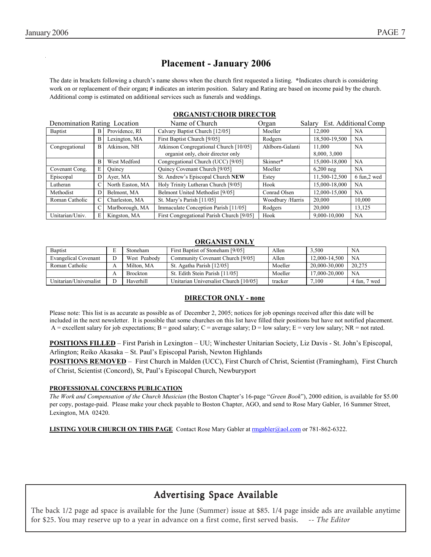# **Placement - January 2006**

The date in brackets following a church's name shows when the church first requested a listing. **\***Indicates church is considering work on or replacement of their organ; # indicates an interim position. Salary and Rating are based on income paid by the church. Additional comp is estimated on additional services such as funerals and weddings.

| Denomination Rating Location |   |                  | Name of Church                            | Organ            | Salary        | Est. Additional Comp |
|------------------------------|---|------------------|-------------------------------------------|------------------|---------------|----------------------|
| <b>Baptist</b>               | B | Providence, RI   | Calvary Baptist Church [12/05]            | Moeller          | 12.000        | <b>NA</b>            |
|                              | B | Lexington, MA    | First Baptist Church [9/05]               | Rodgers          | 18,500-19,500 | NA                   |
| Congregational               | B | Atkinson, NH     | Atkinson Congregational Church [10/05]    | Ahlborn-Galanti  | 11.000        | <b>NA</b>            |
|                              |   |                  | organist only, choir director only        |                  | 8,000, 3,000  |                      |
|                              | B | West Medford     | Congregational Church (UCC) [9/05]        | Skinner*         | 15,000-18,000 | <b>NA</b>            |
| Covenant Cong.               | E | Ouincy           | Quincy Covenant Church [9/05]             | Moeller          | $6,200$ neg   | NA                   |
| Episcopal                    | D | Aver, MA         | St. Andrew's Episcopal Church NEW         | Estey            | 11,500-12,500 | 6 fun,2 wed          |
| Lutheran                     | C | North Easton, MA | Holy Trinity Lutheran Church [9/05]       | Hook             | 15,000-18,000 | NA                   |
| Methodist                    | D | Belmont, MA      | Belmont United Methodist [9/05]           | Conrad Olsen     | 12,000-15,000 | <b>NA</b>            |
| Roman Catholic               | C | Charleston, MA   | St. Mary's Parish [11/05]                 | Woodbury /Harris | 20.000        | 10.000               |
|                              | C | Marlborough, MA  | Immaculate Conception Parish [11/05]      | Rodgers          | 20,000        | 13,125               |
| Unitarian/Univ.              | E | Kingston, MA     | First Congregational Parish Church [9/05] | Hook             | 9,000-10,000  | <b>NA</b>            |

#### **ORGANIST/CHOIR DIRECTOR**

#### **ORGANIST ONLY**

| <b>Baptist</b>              | Stoneham        | First Baptist of Stoneham [9/05]      | Allen   | 3.500         | NA              |
|-----------------------------|-----------------|---------------------------------------|---------|---------------|-----------------|
| <b>Evangelical Covenant</b> | West Peabody    | Community Covenant Church [9/05]      | Allen   | 12.000-14.500 | <b>NA</b>       |
| Roman Catholic              | Milton, MA      | St. Agatha Parish [12/05]             | Moeller | 20.000-30.000 | 20.275          |
|                             | <b>Brockton</b> | St. Edith Stein Parish [11/05]        | Moeller | 17.000-20.000 | <b>NA</b>       |
| Unitarian/Universalist      | Haverhill       | Unitarian Universalist Church [10/05] | tracker | 7.100         | 7 wed<br>4 fun. |

#### **DIRECTOR ONLY - none**

Please note: This list is as accurate as possible as of December 2, 2005; notices for job openings received after this date will be included in the next newsletter. It is possible that some churches on this list have filled their positions but have not notified placement. A = excellent salary for job expectations; B = good salary; C = average salary; D = low salary; E = very low salary; NR = not rated.

**POSITIONS FILLED** – First Parish in Lexington – UU; Winchester Unitarian Society, Liz Davis - St. John's Episcopal, Arlington; Reiko Akasaka – St. Paul's Episcopal Parish, Newton Highlands

**POSITIONS REMOVED** – First Church in Malden (UCC), First Church of Christ, Scientist (Framingham), First Church of Christ, Scientist (Concord), St, Paul's Episcopal Church, Newburyport

#### **PROFESSIONAL CONCERNS PUBLICATION**

*The Work and Compensation of the Church Musician* (the Boston Chapter's 16-page "*Green Book*"), 2000 edition, is available for \$5.00 per copy, postage-paid. Please make your check payable to Boston Chapter, AGO, and send to Rose Mary Gabler, 16 Summer Street, Lexington, MA 02420.

**LISTING YOUR CHURCH ON THIS PAGE** Contact Rose Mary Gabler at rmgabler@aol.com or 781-862-6322.

# Advertising Space Available

The back 1/2 page ad space is available for the June (Summer) issue at \$85. 1/4 page inside ads are available anytime for \$25. You may reserve up to a year in advance on a first come, first served basis. *-- The Editor*